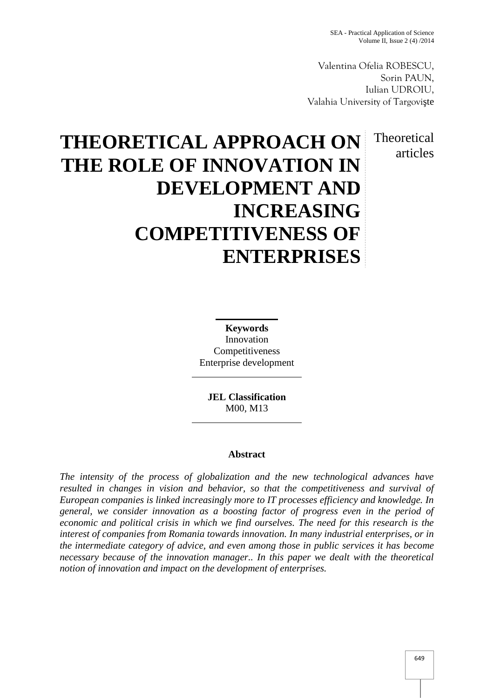Valentina Ofelia ROBESCU, Sorin PAUN, Iulian UDROIU, Valahia University of Targovi te

> Theoretical articles

# **THEORETICAL APPROACH ON THE ROLE OF INNOVATION IN DEVELOPMENT AND INCREASING COMPETITIVENESS OF ENTERPRISES**

**Keywords** Innovation Competitiveness Enterprise development

**JEL Classification** M00, M13

## **Abstract**

*The intensity of the process of globalization and the new technological advances have resulted in changes in vision and behavior, so that the competitiveness and survival of European companies is linked increasingly more to IT processes efficiency and knowledge. In general, we consider innovation as a boosting factor of progress even in the period of economic and political crisis in which we find ourselves. The need for this research is the interest of companies from Romania towards innovation. In many industrial enterprises, or in the intermediate category of advice, and even among those in public services it has become necessary because of the innovation manager.. In this paper we dealt with the theoretical notion of innovation and impact on the development of enterprises.*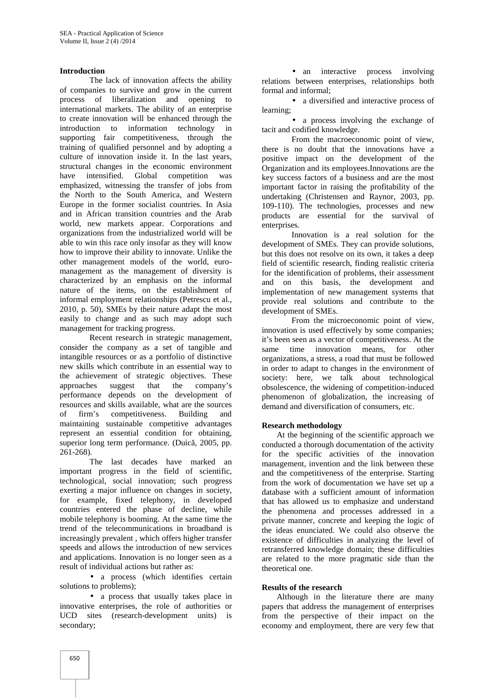### **Introduction**

The lack of innovation affects the ability of companies to survive and grow in the current process of liberalization and opening to international markets. The ability of an enterprise to create innovation will be enhanced through the introduction to information technology in supporting fair competitiveness, through the training of qualified personnel and by adopting a culture of innovation inside it. In the last years, structural changes in the economic environment have intensified. Global competition was emphasized, witnessing the transfer of jobs from the North to the South America, and Western Europe in the former socialist countries. In Asia and in African transition countries and the Arab world, new markets appear. Corporations and organizations from the industrialized world will be able to win this race only insofar as they will know how to improve their ability to innovate. Unlike the other management models of the world, euro management as the management of diversity is characterized by an emphasis on the informal nature of the items, on the establishment of informal employment relationships (Petrescu et al., 2010, p. 50), SMEs by their nature adapt the most easily to change and as such may adopt such management for tracking progress.

Recent research in strategic management, consider the company as a set of tangible and intangible resources or as a portfolio of distinctive new skills which contribute in an essential way to the achievement of strategic objectives. These approaches suggest that the company's performance depends on the development of resources and skills available, what are the sources of firm's competitiveness. Building and maintaining sustainable competitive advantages represent an essential condition for obtaining, superior long term performance. (Duic $, 2005$ , pp.  $261-268$ ).

The last decades have marked an important progress in the field of scientific, technological, social innovation; such progress exerting a major influence on changes in society, for example, fixed telephony, in developed countries entered the phase of decline, while mobile telephony is booming. At the same time the trend of the telecommunications in broadband is increasingly prevalent , which offers higher transfer speeds and allows the introduction of new services and applications. Innovation is no longer seen as a result of individual actions but rather as:

• a process (which identifies certain solutions to problems);

 a process that usually takes place in innovative enterprises, the role of authorities or UCD sites (research-development units) is secondary;

• an interactive process involving relations between enterprises, relationships both formal and informal;

 a diversified and interactive process of learning;

• a process involving the exchange of tacit and codified knowledge.

From the macroeconomic point of view, there is no doubt that the innovations have a positive impact on the development of the Organization and its employees.Innovations are the key success factors of a business and are the most important factor in raising the profitability of the undertaking (Christensen and Raynor, 2003, pp. 109-110). The technologies, processes and new products are essential for the survival of enterprises.

Innovation is a real solution for the development of SMEs. They can provide solutions, but this does not resolve on its own, it takes a deep field of scientific research, finding realistic criteria for the identification of problems, their assessment and on this basis, the development and implementation of new management systems that provide real solutions and contribute to the development of SMEs.

From the microeconomic point of view, innovation is used effectively by some companies; it's been seen as a vector of competitiveness. At the time innovation means, for other organizations, a stress, a road that must be followed in order to adapt to changes in the environment of society: here, we talk about technological obsolescence, the widening of competition-induced phenomenon of globalization, the increasing of demand and diversification of consumers, etc.

## **Research methodology**

At the beginning of the scientific approach we conducted a thorough documentation of the activity for the specific activities of the innovation management, invention and the link between these and the competitiveness of the enterprise. Starting from the work of documentation we have set up a database with a sufficient amount of information that has allowed us to emphasize and understand the phenomena and processes addressed in a private manner, concrete and keeping the logic of the ideas enunciated. We could also observe the existence of difficulties in analyzing the level of retransferred knowledge domain; these difficulties are related to the more pragmatic side than the theoretical one.

### **Results of the research**

Although in the literature there are many papers that address the management of enterprises from the perspective of their impact on the economy and employment, there are very few that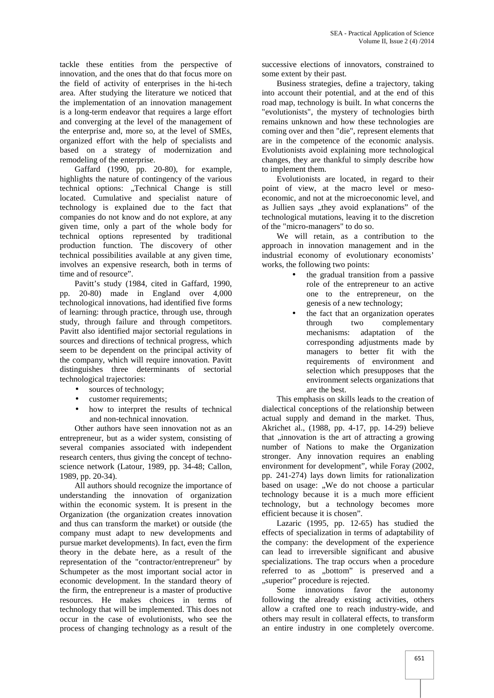tackle these entities from the perspective of innovation, and the ones that do that focus more on the field of activity of enterprises in the hi-tech area. After studying the literature we noticed that the implementation of an innovation management is a long-term endeavor that requires a large effort and converging at the level of the management of the enterprise and, more so, at the level of SMEs, organized effort with the help of specialists and based on a strategy of modernization and remodeling of the enterprise.

Gaffard (1990, pp. 20-80), for example, highlights the nature of contingency of the various technical options: ..Technical Change is still located. Cumulative and specialist nature of technology is explained due to the fact that companies do not know and do not explore, at any given time, only a part of the whole body for technical options represented by traditional production function. The discovery of other technical possibilities available at any given time, involves an expensive research, both in terms of time and of resource".

Pavitt's study (1984, cited in Gaffard, 1990, pp. 20-80) made in England over 4,000 technological innovations, had identified five forms of learning: through practice, through use, through study, through failure and through competitors. Pavitt also identified major sectorial regulations in sources and directions of technical progress, which seem to be dependent on the principal activity of the company, which will require innovation. Pavitt distinguishes three determinants of sectorial technological trajectories:

- sources of technology:
- customer requirements;
- how to interpret the results of technical and non-technical innovation.

Other authors have seen innovation not as an entrepreneur, but as a wider system, consisting of several companies associated with independent research centers, thus giving the concept of techno science network (Latour, 1989, pp. 34-48; Callon, 1989, pp. 20-34).

All authors should recognize the importance of understanding the innovation of organization within the economic system. It is present in the Organization (the organization creates innovation and thus can transform the market) or outside (the company must adapt to new developments and pursue market developments). In fact, even the firm theory in the debate here, as a result of the representation of the "contractor/entrepreneur" by Schumpeter as the most important social actor in economic development. In the standard theory of the firm, the entrepreneur is a master of productive resources. He makes choices in terms of technology that will be implemented. This does not occur in the case of evolutionists, who see the process of changing technology as a result of the

successive elections of innovators, constrained to some extent by their past.

Business strategies, define a trajectory, taking into account their potential, and at the end of this road map, technology is built. In what concerns the "evolutionists", the mystery of technologies birth remains unknown and how these technologies are coming over and then "die", represent elements that are in the competence of the economic analysis. Evolutionists avoid explaining more technological changes, they are thankful to simply describe how to implement them.

Evolutionists are located, in regard to their point of view, at the macro level or meso economic, and not at the microeconomic level, and as Jullien says "they avoid explanations" of the technological mutations, leaving it to the discretion of the "micro-managers" to do so.

We will retain, as a contribution to the approach in innovation management and in the industrial economy of evolutionary economists' works, the following two points:

- the gradual transition from a passive role of the entrepreneur to an active one to the entrepreneur, on the genesis of a new technology;
- the fact that an organization operates through two complementary mechanisms: adaptation of the corresponding adjustments made by managers to better fit with the requirements of environment and selection which presupposes that the environment selects organizations that are the best.

This emphasis on skills leads to the creation of dialectical conceptions of the relationship between actual supply and demand in the market. Thus, Akrichet al., (1988, pp. 4-17, pp. 14-29) believe that , innovation is the art of attracting a growing number of Nations to make the Organization stronger. Any innovation requires an enabling environment for development", while Foray (2002, pp. 241-274) lays down limits for rationalization based on usage: "We do not choose a particular technology because it is a much more efficient technology, but a technology becomes more efficient because it is chosen".

Lazaric (1995, pp. 12-65) has studied the effects of specialization in terms of adaptability of the company: the development of the experience can lead to irreversible significant and abusive specializations. The trap occurs when a procedure referred to as "bottom" is preserved and a "superior" procedure is rejected.

Some innovations favor the autonomy following the already existing activities, others allow a crafted one to reach industry-wide, and others may result in collateral effects, to transform an entire industry in one completely overcome.